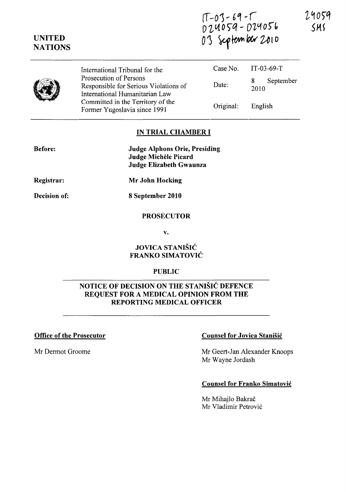**(T** - *0)* -- 6 ~ ; ( D 24059 - D 24056 0's september 2010

|  | International Tribunal for the                                                                    |           | Case No. IT-03-69-T    |
|--|---------------------------------------------------------------------------------------------------|-----------|------------------------|
|  | Prosecution of Persons<br>Responsible for Serious Violations of<br>International Humanitarian Law | Date:     | September<br>8<br>2010 |
|  | Committed in the Territory of the<br>Former Yugoslavia since 1991                                 | Original: | English                |

### **IN TRIAL CHAMBER I**

| <b>Judge Alphons Orie, Presiding</b> |
|--------------------------------------|
| Judge Michèle Picard                 |
| Judge Elizabeth Gwaunza              |

**Registrar:** 

**Before:** 

**UNITED NATIONS** 

**Decision of:** 

**Mr John Hocking** 

**8 September 2010** 

#### **PROSECUTOR**

v.

## **JOVICA STANISIC FRANKO SIMATOVIC**

#### **PUBLIC**

# **NOTICE OF DECISION ON THE STANISIC DEFENCE REQUEST FOR A MEDICAL OPINION FROM THE REPORTING MEDICAL OFFICER**

### **Office of the Prosecutor Counsel for Jovica Stanisic Counsel for Jovica Stanisic**

Mr Dermot Groome Mr Geert-Jan Alexander Knoops Mr Wayne Jordash

#### **Counsel for Franko Simatovic**

Mr Mihajlo Bakrač Mr Vladimir Petrovic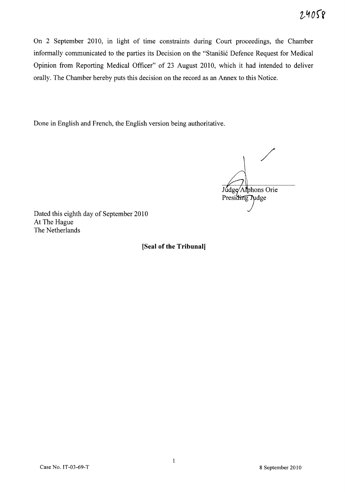$24058$ 

On 2 September 2010, in light of time constraints during Court proceedings, the Chamber informally communicated to the parties its Decision on the "Stanišić Defence Request for Medical Opinion from Reporting Medical Officer" of 23 August 2010, which it had intended to deliver orally. The Chamber hereby puts this decision on the record as an Annex to this Notice.

Done in English and French, the English version being authoritative.

/ Judge/Alphons Orie Presiding Judge

Dated this eighth day of September 2010 At The Hague The Netherlands

**[Seal of the Tribunal]**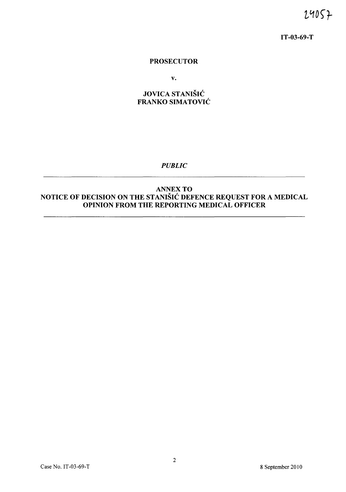24057

IT-03-69-T

#### PROSECUTOR

v.

# JOVICA STANISIC FRANKO SIMATOVIĆ

*PUBLIC* 

## ANNEX TO NOTICE OF DECISION ON THE STANISIC DEFENCE REQUEST FOR A MEDICAL OPINION FROM THE REPORTING MEDICAL OFFICER